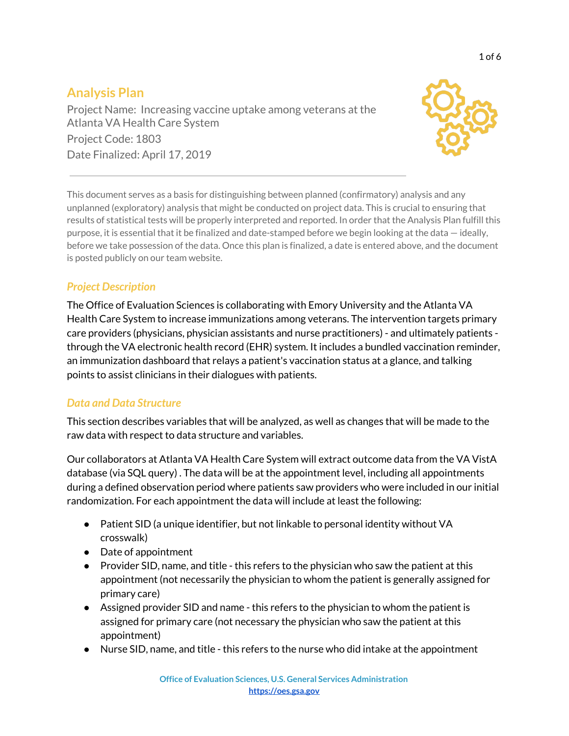# **Analysis Plan**

Project Name: Increasing vaccine uptake among veterans at the Atlanta VA Health Care System Project Code: 1803 Date Finalized: April 17, 2019



This document serves as a basis for distinguishing between planned (confirmatory) analysis and any unplanned (exploratory) analysis that might be conducted on project data. This is crucial to ensuring that results of statistical tests will be properly interpreted and reported. In order that the Analysis Plan fulfill this purpose, it is essential that it be finalized and date-stamped before we begin looking at the data — ideally, before we take possession of the data. Once this plan is finalized, a date is entered above, and the document is posted publicly on our team website.

# *Project Description*

The Office of Evaluation Sciences is collaborating with Emory University and the Atlanta VA Health Care System to increase immunizations among veterans. The intervention targets primary care providers (physicians, physician assistants and nurse practitioners) - and ultimately patients through the VA electronic health record (EHR) system. It includes a bundled vaccination reminder, an immunization dashboard that relays a patient's vaccination status at a glance, and talking points to assist clinicians in their dialogues with patients.

# *Data and Data Structure*

This section describes variables that will be analyzed, as well as changes that will be made to the raw data with respect to data structure and variables.

Our collaborators at Atlanta VA Health Care System will extract outcome data from the VA VistA database (via SQL query) . The data will be at the appointment level, including all appointments during a defined observation period where patients saw providers who were included in our initial randomization. For each appointment the data will include at least the following:

- Patient SID (a unique identifier, but not linkable to personal identity without VA crosswalk)
- Date of appointment
- Provider SID, name, and title this refers to the physician who saw the patient at this appointment (not necessarily the physician to whom the patient is generally assigned for primary care)
- Assigned provider SID and name this refers to the physician to whom the patient is assigned for primary care (not necessary the physician who saw the patient at this appointment)
- Nurse SID, name, and title this refers to the nurse who did intake at the appointment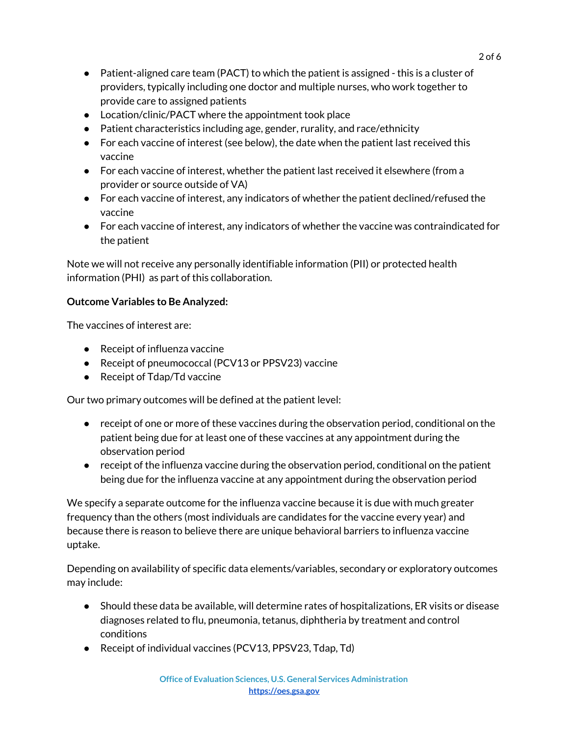- $\bullet$  Patient-aligned care team (PACT) to which the patient is assigned this is a cluster of providers, typically including one doctor and multiple nurses, who work together to provide care to assigned patients
- Location/clinic/PACT where the appointment took place
- $\bullet$  Patient characteristics including age, gender, rurality, and race/ethnicity
- For each vaccine of interest (see below), the date when the patient last received this vaccine
- For each vaccine of interest, whether the patient last received it elsewhere (from a provider or source outside of VA)
- For each vaccine of interest, any indicators of whether the patient declined/refused the vaccine
- For each vaccine of interest, any indicators of whether the vaccine was contraindicated for the patient

Note we will not receive any personally identifiable information (PII) or protected health information (PHI) as part of this collaboration.

### **Outcome Variables to Be Analyzed:**

The vaccines of interest are:

- Receipt of influenza vaccine
- Receipt of pneumococcal (PCV13 or PPSV23) vaccine
- Receipt of Tdap/Td vaccine

Our two primary outcomes will be defined at the patient level:

- receipt of one or more of these vaccines during the observation period, conditional on the patient being due for at least one of these vaccines at any appointment during the observation period
- receipt of the influenza vaccine during the observation period, conditional on the patient being due for the influenza vaccine at any appointment during the observation period

We specify a separate outcome for the influenza vaccine because it is due with much greater frequency than the others (most individuals are candidates for the vaccine every year) and because there is reason to believe there are unique behavioral barriers to influenza vaccine uptake.

Depending on availability of specific data elements/variables, secondary or exploratory outcomes may include:

- Should these data be available, will determine rates of hospitalizations, ER visits or disease diagnoses related to flu, pneumonia, tetanus, diphtheria by treatment and control conditions
- Receipt of individual vaccines (PCV13, PPSV23, Tdap, Td)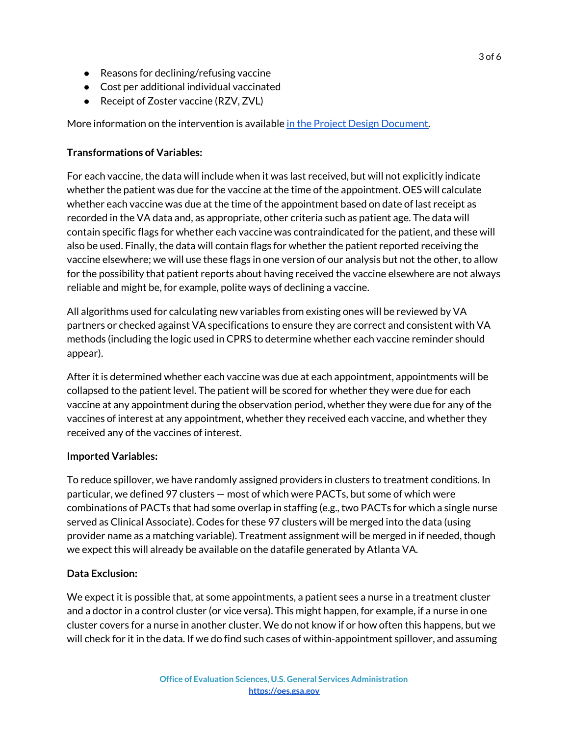- Reasons for declining/refusing vaccine
- Cost per additional individual vaccinated
- Receipt of Zoster vaccine (RZV, ZVL)

More information on the intervention is available in the Project Design [Document.](https://docs.google.com/document/d/1j7tv_P54ptskyTfwEDTAvhgauR-53zW8psr9Lg6_jUQ/edit#)

#### **Transformations of Variables:**

For each vaccine, the data will include when it was last received, but will not explicitly indicate whether the patient was due for the vaccine at the time of the appointment. OES will calculate whether each vaccine was due at the time of the appointment based on date of last receipt as recorded in the VA data and, as appropriate, other criteria such as patient age. The data will contain specific flags for whether each vaccine was contraindicated for the patient, and these will also be used. Finally, the data will contain flags for whether the patient reported receiving the vaccine elsewhere; we will use these flags in one version of our analysis but not the other, to allow for the possibility that patient reports about having received the vaccine elsewhere are not always reliable and might be, for example, polite ways of declining a vaccine.

All algorithms used for calculating new variables from existing ones will be reviewed by VA partners or checked against VA specifications to ensure they are correct and consistent with VA methods (including the logic used in CPRS to determine whether each vaccine reminder should appear).

After it is determined whether each vaccine was due at each appointment, appointments will be collapsed to the patient level. The patient will be scored for whether they were due for each vaccine at any appointment during the observation period, whether they were due for any of the vaccines of interest at any appointment, whether they received each vaccine, and whether they received any of the vaccines of interest.

#### **Imported Variables:**

To reduce spillover, we have randomly assigned providers in clusters to treatment conditions. In particular, we defined 97 clusters — most of which were PACTs, but some of which were combinations of PACTs that had some overlap in staffing (e.g., two PACTs for which a single nurse served as Clinical Associate). Codes for these 97 clusters will be merged into the data (using provider name as a matching variable). Treatment assignment will be merged in if needed, though we expect this will already be available on the datafile generated by Atlanta VA.

#### **Data Exclusion:**

We expect it is possible that, at some appointments, a patient sees a nurse in a treatment cluster and a doctor in a control cluster (or vice versa). This might happen, for example, if a nurse in one cluster covers for a nurse in another cluster. We do not know if or how often this happens, but we will check for it in the data. If we do find such cases of within-appointment spillover, and assuming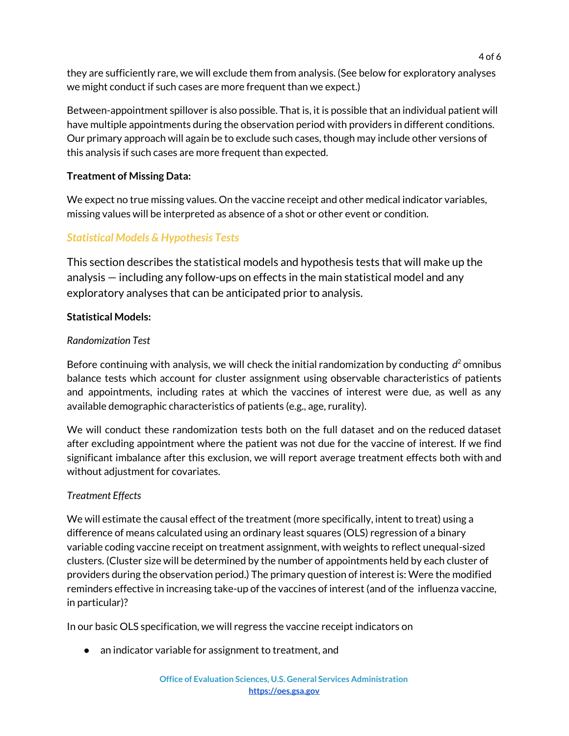they are sufficiently rare, we will exclude them from analysis. (See below for exploratory analyses we might conduct if such cases are more frequent than we expect.)

Between-appointment spillover is also possible. That is, it is possible that an individual patient will have multiple appointments during the observation period with providers in different conditions. Our primary approach will again be to exclude such cases, though may include other versions of this analysis if such cases are more frequent than expected.

### **Treatment of Missing Data:**

We expect no true missing values. On the vaccine receipt and other medical indicator variables, missing values will be interpreted as absence of a shot or other event or condition.

# *Statistical Models & Hypothesis Tests*

This section describes the statistical models and hypothesis tests that will make up the analysis — including any follow-ups on effects in the main statistical model and any exploratory analyses that can be anticipated prior to analysis.

### **Statistical Models:**

#### *Randomization Test*

Before continuing with analysis, we will check the initial randomization by conducting *d* <sup>2</sup> omnibus balance tests which account for cluster assignment using observable characteristics of patients and appointments, including rates at which the vaccines of interest were due, as well as any available demographic characteristics of patients (e.g., age, rurality).

We will conduct these randomization tests both on the full dataset and on the reduced dataset after excluding appointment where the patient was not due for the vaccine of interest. If we find significant imbalance after this exclusion, we will report average treatment effects both with and without adjustment for covariates.

### *Treatment Effects*

We will estimate the causal effect of the treatment (more specifically, intent to treat) using a difference of means calculated using an ordinary least squares (OLS) regression of a binary variable coding vaccine receipt on treatment assignment, with weights to reflect unequal-sized clusters. (Cluster size will be determined by the number of appointments held by each cluster of providers during the observation period.) The primary question of interest is: Were the modified reminders effective in increasing take-up of the vaccines of interest (and of the influenza vaccine, in particular)?

In our basic OLS specification, we will regress the vaccine receipt indicators on

● an indicator variable for assignment to treatment, and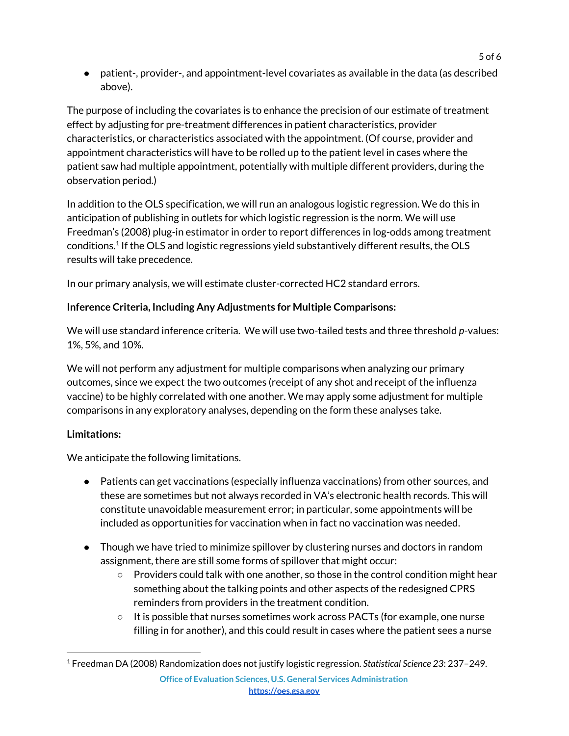● patient-, provider-, and appointment-level covariates as available in the data (as described above).

The purpose of including the covariates is to enhance the precision of our estimate of treatment effect by adjusting for pre-treatment differences in patient characteristics, provider characteristics, or characteristics associated with the appointment. (Of course, provider and appointment characteristics will have to be rolled up to the patient level in cases where the patient saw had multiple appointment, potentially with multiple different providers, during the observation period.)

In addition to the OLS specification, we will run an analogous logistic regression. We do this in anticipation of publishing in outlets for which logistic regression is the norm. We will use Freedman's (2008) plug-in estimator in order to report differences in log-odds among treatment conditions. $^1$  If the OLS and logistic regressions yield substantively different results, the OLS results will take precedence.

In our primary analysis, we will estimate cluster-corrected HC2 standard errors.

# **Inference Criteria, Including Any Adjustments for Multiple Comparisons:**

We will use standard inference criteria. We will use two-tailed tests and three threshold *p*-values: 1%, 5%, and 10%.

We will not perform any adjustment for multiple comparisons when analyzing our primary outcomes, since we expect the two outcomes (receipt of any shot and receipt of the influenza vaccine) to be highly correlated with one another. We may apply some adjustment for multiple comparisons in any exploratory analyses, depending on the form these analyses take.

# **Limitations:**

We anticipate the following limitations.

- Patients can get vaccinations (especially influenza vaccinations) from other sources, and these are sometimes but not always recorded in VA's electronic health records. This will constitute unavoidable measurement error; in particular, some appointments will be included as opportunities for vaccination when in fact no vaccination was needed.
- Though we have tried to minimize spillover by clustering nurses and doctors in random assignment, there are still some forms of spillover that might occur:
	- Providers could talk with one another, so those in the control condition might hear something about the talking points and other aspects of the redesigned CPRS reminders from providers in the treatment condition.
	- It is possible that nurses sometimes work across PACTs (for example, one nurse filling in for another), and this could result in cases where the patient sees a nurse

<sup>1</sup> Freedman DA (2008) Randomization does not justify logistic regression. *Statistical Science 23*: 237–249.